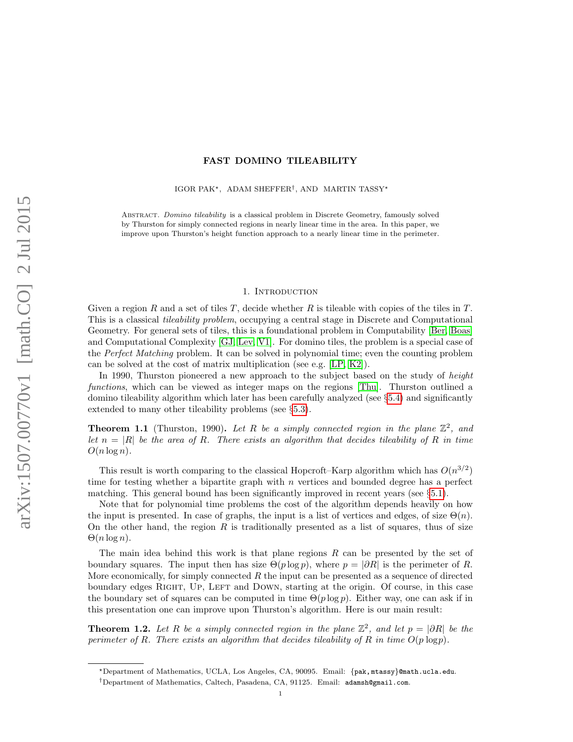# FAST DOMINO TILEABILITY

IGOR PAK<sup>\*</sup>, ADAM SHEFFER<sup>†</sup>, AND MARTIN TASSY<sup>\*</sup>

Abstract. Domino tileability is a classical problem in Discrete Geometry, famously solved by Thurston for simply connected regions in nearly linear time in the area. In this paper, we improve upon Thurston's height function approach to a nearly linear time in the perimeter.

### 1. INTRODUCTION

Given a region R and a set of tiles T, decide whether R is tileable with copies of the tiles in  $T$ . This is a classical *tileability problem*, occupying a central stage in Discrete and Computational Geometry. For general sets of tiles, this is a foundational problem in Computability [\[Ber,](#page-13-0) [Boas\]](#page-14-0) and Computational Complexity [\[GJ,](#page-14-1) [Lev,](#page-14-2) [V1\]](#page-14-3). For domino tiles, the problem is a special case of the Perfect Matching problem. It can be solved in polynomial time; even the counting problem can be solved at the cost of matrix multiplication (see e.g. [\[LP,](#page-14-4) [K2\]](#page-14-5)).

In 1990, Thurston pioneered a new approach to the subject based on the study of height functions, which can be viewed as integer maps on the regions [\[Thu\]](#page-14-6). Thurston outlined a domino tileability algorithm which later has been carefully analyzed (see  $\S 5.4$ ) and significantly extended to many other tileability problems (see §[5.3\)](#page-13-2).

<span id="page-0-1"></span>**Theorem 1.1** (Thurston, 1990). Let R be a simply connected region in the plane  $\mathbb{Z}^2$ , and let  $n = |R|$  be the area of R. There exists an algorithm that decides tileability of R in time  $O(n \log n)$ .

This result is worth comparing to the classical Hopcroft–Karp algorithm which has  $O(n^{3/2})$ time for testing whether a bipartite graph with  $n$  vertices and bounded degree has a perfect matching. This general bound has been significantly improved in recent years (see §[5.1\)](#page-13-3).

Note that for polynomial time problems the cost of the algorithm depends heavily on how the input is presented. In case of graphs, the input is a list of vertices and edges, of size  $\Theta(n)$ . On the other hand, the region  $R$  is traditionally presented as a list of squares, thus of size  $\Theta(n \log n)$ .

The main idea behind this work is that plane regions R can be presented by the set of boundary squares. The input then has size  $\Theta(p \log p)$ , where  $p = |\partial R|$  is the perimeter of R. More economically, for simply connected  $R$  the input can be presented as a sequence of directed boundary edges RIGHT, UP, LEFT and DOWN, starting at the origin. Of course, in this case the boundary set of squares can be computed in time  $\Theta(p \log p)$ . Either way, one can ask if in this presentation one can improve upon Thurston's algorithm. Here is our main result:

<span id="page-0-0"></span>**Theorem 1.2.** Let R be a simply connected region in the plane  $\mathbb{Z}^2$ , and let  $p = |\partial R|$  be the perimeter of R. There exists an algorithm that decides tileability of R in time  $O(p \log p)$ .

<sup>?</sup>Department of Mathematics, UCLA, Los Angeles, CA, 90095. Email: {pak, mtassy}@math.ucla.edu.

<sup>†</sup>Department of Mathematics, Caltech, Pasadena, CA, 91125. Email: adamsh@gmail.com.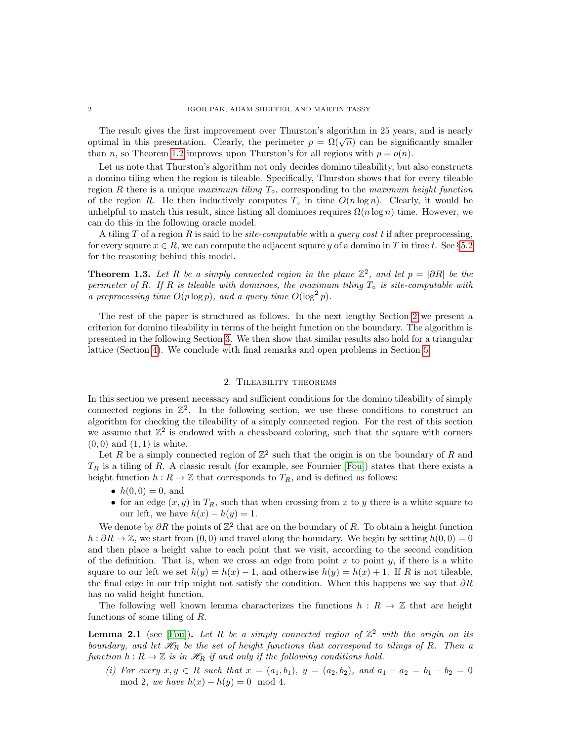The result gives the first improvement over Thurston's algorithm in 25 years, and is nearly optimal in this presentation. Clearly, the perimeter  $p = \Omega(\sqrt{n})$  can be significantly smaller than n, so Theorem [1.2](#page-0-0) improves upon Thurston's for all regions with  $p = o(n)$ .

Let us note that Thurston's algorithm not only decides domino tileability, but also constructs a domino tiling when the region is tileable. Specifically, Thurston shows that for every tileable region R there is a unique maximum tiling  $T<sub>∘</sub>$ , corresponding to the maximum height function of the region R. He then inductively computes  $T<sub>o</sub>$  in time  $O(n \log n)$ . Clearly, it would be unhelpful to match this result, since listing all dominoes requires  $\Omega(n \log n)$  time. However, we can do this in the following oracle model.

A tiling T of a region R is said to be *site-computable* with a *query cost* t if after preprocessing, for every square  $x \in R$ , we can compute the adjacent square y of a domino in T in time t. See §[5.2](#page-13-4) for the reasoning behind this model.

<span id="page-1-2"></span>**Theorem 1.3.** Let R be a simply connected region in the plane  $\mathbb{Z}^2$ , and let  $p = |\partial R|$  be the perimeter of R. If R is tileable with dominoes, the maximum tiling  $T<sub>∘</sub>$  is site-computable with a preprocessing time  $O(p \log p)$ , and a query time  $O(\log^2 p)$ .

The rest of the paper is structured as follows. In the next lengthy Section [2](#page-1-0) we present a criterion for domino tileability in terms of the height function on the boundary. The algorithm is presented in the following Section [3.](#page-5-0) We then show that similar results also hold for a triangular lattice (Section [4\)](#page-11-0). We conclude with final remarks and open problems in Section [5.](#page-13-5)

# 2. Tileability theorems

<span id="page-1-0"></span>In this section we present necessary and sufficient conditions for the domino tileability of simply connected regions in  $\mathbb{Z}^2$ . In the following section, we use these conditions to construct an algorithm for checking the tileability of a simply connected region. For the rest of this section we assume that  $\mathbb{Z}^2$  is endowed with a chessboard coloring, such that the square with corners  $(0, 0)$  and  $(1, 1)$  is white.

Let R be a simply connected region of  $\mathbb{Z}^2$  such that the origin is on the boundary of R and  $T_R$  is a tiling of R. A classic result (for example, see Fournier [\[Fou\]](#page-14-7)) states that there exists a height function  $h : R \to \mathbb{Z}$  that corresponds to  $T_R$ , and is defined as follows:

- $h(0, 0) = 0$ , and
- for an edge  $(x, y)$  in  $T_R$ , such that when crossing from x to y there is a white square to our left, we have  $h(x) - h(y) = 1$ .

We denote by  $\partial R$  the points of  $\mathbb{Z}^2$  that are on the boundary of R. To obtain a height function  $h : \partial R \to \mathbb{Z}$ , we start from  $(0, 0)$  and travel along the boundary. We begin by setting  $h(0, 0) = 0$ and then place a height value to each point that we visit, according to the second condition of the definition. That is, when we cross an edge from point x to point y, if there is a white square to our left we set  $h(y) = h(x) - 1$ , and otherwise  $h(y) = h(x) + 1$ . If R is not tileable, the final edge in our trip might not satisfy the condition. When this happens we say that  $\partial R$ has no valid height function.

The following well known lemma characterizes the functions  $h : R \to \mathbb{Z}$  that are height functions of some tiling of R.

<span id="page-1-1"></span>**Lemma 2.1** (see [\[Fou\]](#page-14-7)). Let R be a simply connected region of  $\mathbb{Z}^2$  with the origin on its boundary, and let  $\mathcal{H}_R$  be the set of height functions that correspond to tilings of R. Then a function  $h: R \to \mathbb{Z}$  is in  $\mathcal{H}_R$  if and only if the following conditions hold.

(i) For every  $x, y \in R$  such that  $x = (a_1, b_1), y = (a_2, b_2),$  and  $a_1 - a_2 = b_1 - b_2 = 0$ mod 2, we have  $h(x) - h(y) = 0 \mod 4$ .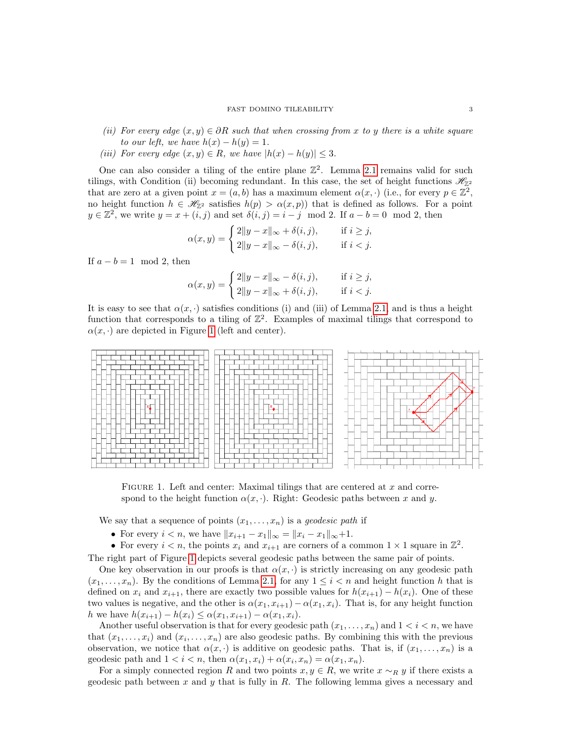- (ii) For every edge  $(x, y) \in \partial R$  such that when crossing from x to y there is a white square to our left, we have  $h(x) - h(y) = 1$ .
- (iii) For every edge  $(x, y) \in R$ , we have  $|h(x) h(y)| \leq 3$ .

One can also consider a tiling of the entire plane  $\mathbb{Z}^2$ . Lemma [2.1](#page-1-1) remains valid for such tilings, with Condition (ii) becoming redundant. In this case, the set of height functions  $\mathcal{H}_{\mathbb{Z}^2}$ that are zero at a given point  $x = (a, b)$  has a maximum element  $\alpha(x, \cdot)$  (i.e., for every  $p \in \mathbb{Z}^2$ , no height function  $h \in \mathcal{H}_{\mathbb{Z}^2}$  satisfies  $h(p) > \alpha(x, p)$  that is defined as follows. For a point  $y \in \mathbb{Z}^2$ , we write  $y = x + (i, j)$  and set  $\delta(i, j) = i - j \mod 2$ . If  $a - b = 0 \mod 2$ , then

$$
\alpha(x, y) = \begin{cases} 2\|y - x\|_{\infty} + \delta(i, j), & \text{if } i \ge j, \\ 2\|y - x\|_{\infty} - \delta(i, j), & \text{if } i < j. \end{cases}
$$

If  $a - b = 1 \mod 2$ , then

$$
\alpha(x, y) = \begin{cases} 2\|y - x\|_{\infty} - \delta(i, j), & \text{if } i \geq j, \\ 2\|y - x\|_{\infty} + \delta(i, j), & \text{if } i < j. \end{cases}
$$

It is easy to see that  $\alpha(x, \cdot)$  satisfies conditions (i) and (iii) of Lemma [2.1,](#page-1-1) and is thus a height function that corresponds to a tiling of  $\mathbb{Z}^2$ . Examples of maximal tilings that correspond to  $\alpha(x, \cdot)$  are depicted in Figure [1](#page-2-0) (left and center).



<span id="page-2-0"></span>FIGURE 1. Left and center: Maximal tilings that are centered at  $x$  and correspond to the height function  $\alpha(x, \cdot)$ . Right: Geodesic paths between x and y.

We say that a sequence of points  $(x_1, \ldots, x_n)$  is a *geodesic path* if

- For every  $i < n$ , we have  $||x_{i+1} x_1||_{\infty} = ||x_i x_1||_{\infty} + 1$ .
- For every  $i < n$ , the points  $x_i$  and  $x_{i+1}$  are corners of a common  $1 \times 1$  square in  $\mathbb{Z}^2$ .

The right part of Figure [1](#page-2-0) depicts several geodesic paths between the same pair of points.

One key observation in our proofs is that  $\alpha(x, \cdot)$  is strictly increasing on any geodesic path  $(x_1, \ldots, x_n)$ . By the conditions of Lemma [2.1,](#page-1-1) for any  $1 \leq i \leq n$  and height function h that is defined on  $x_i$  and  $x_{i+1}$ , there are exactly two possible values for  $h(x_{i+1}) - h(x_i)$ . One of these two values is negative, and the other is  $\alpha(x_1, x_{i+1}) - \alpha(x_1, x_i)$ . That is, for any height function h we have  $h(x_{i+1}) - h(x_i) \leq \alpha(x_1, x_{i+1}) - \alpha(x_1, x_i)$ .

Another useful observation is that for every geodesic path  $(x_1, \ldots, x_n)$  and  $1 < i < n$ , we have that  $(x_1, \ldots, x_i)$  and  $(x_i, \ldots, x_n)$  are also geodesic paths. By combining this with the previous observation, we notice that  $\alpha(x, \cdot)$  is additive on geodesic paths. That is, if  $(x_1, \ldots, x_n)$  is a geodesic path and  $1 < i < n$ , then  $\alpha(x_1, x_i) + \alpha(x_i, x_n) = \alpha(x_1, x_n)$ .

For a simply connected region R and two points  $x, y \in R$ , we write  $x \sim_R y$  if there exists a geodesic path between x and y that is fully in R. The following lemma gives a necessary and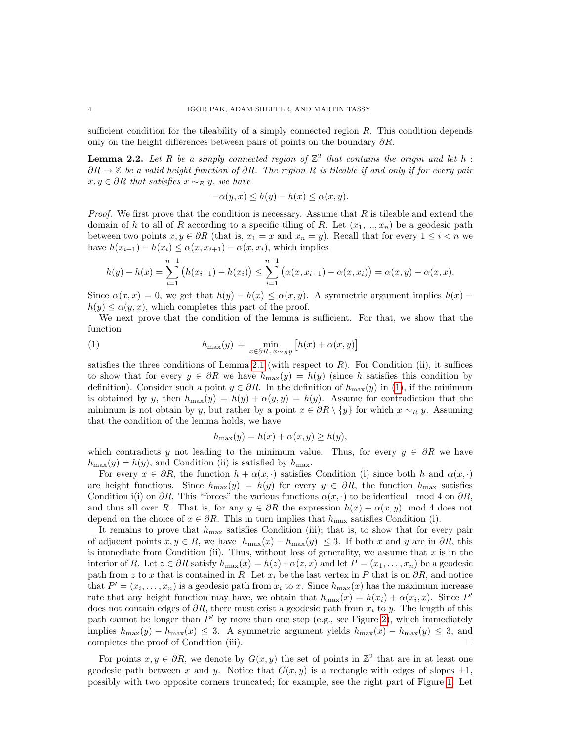sufficient condition for the tileability of a simply connected region  $R$ . This condition depends only on the height differences between pairs of points on the boundary  $\partial R$ .

<span id="page-3-1"></span>**Lemma 2.2.** Let R be a simply connected region of  $\mathbb{Z}^2$  that contains the origin and let h:  $∂R → ℤ$  be a valid height function of  $∂R$ . The region R is tileable if and only if for every pair  $x, y \in \partial R$  that satisfies  $x \sim_R y$ , we have

$$
-\alpha(y, x) \le h(y) - h(x) \le \alpha(x, y).
$$

*Proof.* We first prove that the condition is necessary. Assume that  $R$  is tileable and extend the domain of h to all of R according to a specific tiling of R. Let  $(x_1, ..., x_n)$  be a geodesic path between two points  $x, y \in \partial R$  (that is,  $x_1 = x$  and  $x_n = y$ ). Recall that for every  $1 \leq i < n$  we have  $h(x_{i+1}) - h(x_i) \leq \alpha(x, x_{i+1}) - \alpha(x, x_i)$ , which implies

$$
h(y) - h(x) = \sum_{i=1}^{n-1} (h(x_{i+1}) - h(x_i)) \le \sum_{i=1}^{n-1} (\alpha(x, x_{i+1}) - \alpha(x, x_i)) = \alpha(x, y) - \alpha(x, x).
$$

Since  $\alpha(x, x) = 0$ , we get that  $h(y) - h(x) \leq \alpha(x, y)$ . A symmetric argument implies  $h(x)$  –  $h(y) \leq \alpha(y, x)$ , which completes this part of the proof.

We next prove that the condition of the lemma is sufficient. For that, we show that the function

(1) 
$$
h_{\max}(y) = \min_{x \in \partial R, x \sim_R y} [h(x) + \alpha(x, y)]
$$

satisfies the three conditions of Lemma [2.1](#page-1-1) (with respect to  $R$ ). For Condition (ii), it suffices to show that for every  $y \in \partial R$  we have  $h_{\max}(y) = h(y)$  (since h satisfies this condition by definition). Consider such a point  $y \in \partial R$ . In the definition of  $h_{\max}(y)$  in [\(1\)](#page-3-0), if the minimum is obtained by y, then  $h_{\text{max}}(y) = h(y) + \alpha(y, y) = h(y)$ . Assume for contradiction that the minimum is not obtain by y, but rather by a point  $x \in \partial R \setminus \{y\}$  for which  $x \sim_R y$ . Assuming that the condition of the lemma holds, we have

<span id="page-3-0"></span>
$$
h_{\max}(y) = h(x) + \alpha(x, y) \ge h(y),
$$

which contradicts y not leading to the minimum value. Thus, for every  $y \in \partial R$  we have  $h_{\text{max}}(y) = h(y)$ , and Condition (ii) is satisfied by  $h_{\text{max}}$ .

For every  $x \in \partial R$ , the function  $h + \alpha(x, \cdot)$  satisfies Condition (i) since both h and  $\alpha(x, \cdot)$ are height functions. Since  $h_{\text{max}}(y) = h(y)$  for every  $y \in \partial R$ , the function  $h_{\text{max}}$  satisfies Condition i(i) on  $\partial R$ . This "forces" the various functions  $\alpha(x, \cdot)$  to be identical mod 4 on  $\partial R$ , and thus all over R. That is, for any  $y \in \partial R$  the expression  $h(x) + \alpha(x, y) \mod 4$  does not depend on the choice of  $x \in \partial R$ . This in turn implies that  $h_{\max}$  satisfies Condition (i).

It remains to prove that  $h_{\text{max}}$  satisfies Condition (iii); that is, to show that for every pair of adjacent points  $x, y \in R$ , we have  $|h_{\max}(x) - h_{\max}(y)| \leq 3$ . If both x and y are in  $\partial R$ , this is immediate from Condition (ii). Thus, without loss of generality, we assume that  $x$  is in the interior of R. Let  $z \in \partial R$  satisfy  $h_{\max}(x) = h(z) + \alpha(z, x)$  and let  $P = (x_1, \ldots, x_n)$  be a geodesic path from z to x that is contained in R. Let  $x_i$  be the last vertex in P that is on  $\partial R$ , and notice that  $P' = (x_i, \ldots, x_n)$  is a geodesic path from  $x_i$  to x. Since  $h_{\max}(x)$  has the maximum increase rate that any height function may have, we obtain that  $h_{\max}(x) = h(x_i) + \alpha(x_i, x)$ . Since P' does not contain edges of  $\partial R$ , there must exist a geodesic path from  $x_i$  to y. The length of this path cannot be longer than  $P'$  by more than one step (e.g., see Figure [2\)](#page-4-0), which immediately implies  $h_{\max}(y) - h_{\max}(x) \leq 3$ . A symmetric argument yields  $h_{\max}(x) - h_{\max}(y) \leq 3$ , and completes the proof of Condition (iii). completes the proof of Condition (iii).

For points  $x, y \in \partial R$ , we denote by  $G(x, y)$  the set of points in  $\mathbb{Z}^2$  that are in at least one geodesic path between x and y. Notice that  $G(x, y)$  is a rectangle with edges of slopes  $\pm 1$ , possibly with two opposite corners truncated; for example, see the right part of Figure [1.](#page-2-0) Let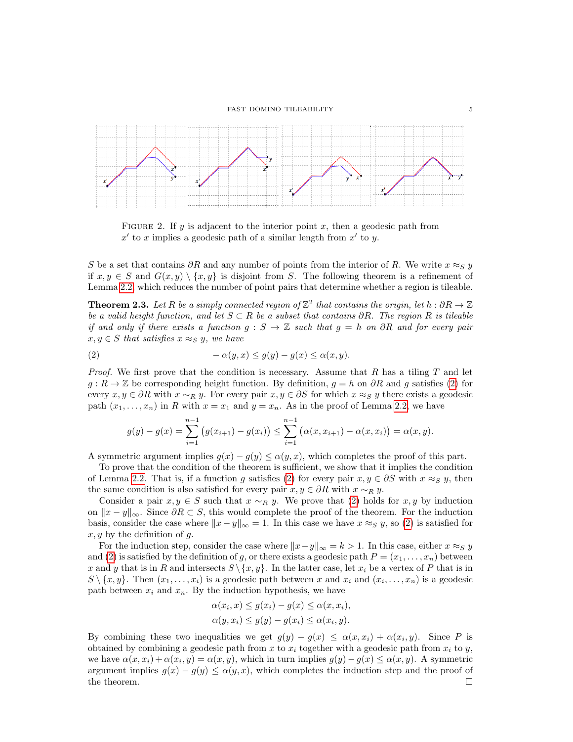

<span id="page-4-0"></span>FIGURE 2. If  $y$  is adjacent to the interior point  $x$ , then a geodesic path from  $x'$  to x implies a geodesic path of a similar length from  $x'$  to y.

S be a set that contains  $\partial R$  and any number of points from the interior of R. We write  $x \approx_S y$ if  $x, y \in S$  and  $G(x, y) \setminus \{x, y\}$  is disjoint from S. The following theorem is a refinement of Lemma [2.2,](#page-3-1) which reduces the number of point pairs that determine whether a region is tileable.

<span id="page-4-2"></span>**Theorem 2.3.** Let R be a simply connected region of  $\mathbb{Z}^2$  that contains the origin, let  $h : \partial R \to \mathbb{Z}$ be a valid height function, and let  $S \subset R$  be a subset that contains  $\partial R$ . The region R is tileable if and only if there exists a function  $g : S \to \mathbb{Z}$  such that  $g = h$  on  $\partial R$  and for every pair  $x, y \in S$  that satisfies  $x \approx_S y$ , we have

(2) 
$$
-\alpha(y,x) \le g(y) - g(x) \le \alpha(x,y).
$$

*Proof.* We first prove that the condition is necessary. Assume that R has a tiling T and let  $g: R \to \mathbb{Z}$  be corresponding height function. By definition,  $g = h$  on  $\partial R$  and g satisfies [\(2\)](#page-4-1) for every  $x, y \in \partial R$  with  $x \sim_R y$ . For every pair  $x, y \in \partial S$  for which  $x \approx_S y$  there exists a geodesic path  $(x_1, \ldots, x_n)$  in R with  $x = x_1$  and  $y = x_n$ . As in the proof of Lemma [2.2,](#page-3-1) we have

<span id="page-4-1"></span>
$$
g(y) - g(x) = \sum_{i=1}^{n-1} (g(x_{i+1}) - g(x_i)) \le \sum_{i=1}^{n-1} (\alpha(x, x_{i+1}) - \alpha(x, x_i)) = \alpha(x, y).
$$

A symmetric argument implies  $g(x) - g(y) \leq \alpha(y, x)$ , which completes the proof of this part.

To prove that the condition of the theorem is sufficient, we show that it implies the condition of Lemma [2.2.](#page-3-1) That is, if a function g satisfies [\(2\)](#page-4-1) for every pair  $x, y \in \partial S$  with  $x \approx_S y$ , then the same condition is also satisfied for every pair  $x, y \in \partial R$  with  $x \sim_R y$ .

Consider a pair  $x, y \in S$  such that  $x \sim_R y$ . We prove that [\(2\)](#page-4-1) holds for  $x, y$  by induction on  $||x - y||_{\infty}$ . Since  $\partial R \subset S$ , this would complete the proof of the theorem. For the induction basis, consider the case where  $||x - y||_{\infty} = 1$ . In this case we have  $x \approx_S y$ , so [\(2\)](#page-4-1) is satisfied for  $x, y$  by the definition of q.

For the induction step, consider the case where  $||x-y||_{\infty} = k > 1$ . In this case, either  $x \approx_S y$ and [\(2\)](#page-4-1) is satisfied by the definition of g, or there exists a geodesic path  $P = (x_1, \ldots, x_n)$  between x and y that is in R and intersects  $S \ \{x, y\}$ . In the latter case, let  $x_i$  be a vertex of P that is in  $S \setminus \{x, y\}$ . Then  $(x_1, \ldots, x_i)$  is a geodesic path between x and  $x_i$  and  $(x_i, \ldots, x_n)$  is a geodesic path between  $x_i$  and  $x_n$ . By the induction hypothesis, we have

$$
\alpha(x_i, x) \le g(x_i) - g(x) \le \alpha(x, x_i),
$$
  
 
$$
\alpha(y, x_i) \le g(y) - g(x_i) \le \alpha(x_i, y).
$$

By combining these two inequalities we get  $g(y) - g(x) \leq \alpha(x, x_i) + \alpha(x_i, y)$ . Since P is obtained by combining a geodesic path from  $x$  to  $x_i$  together with a geodesic path from  $x_i$  to  $y$ , we have  $\alpha(x, x_i) + \alpha(x_i, y) = \alpha(x, y)$ , which in turn implies  $g(y) - g(x) \leq \alpha(x, y)$ . A symmetric argument implies  $g(x) - g(y) \leq \alpha(y, x)$ , which completes the induction step and the proof of the theorem. the theorem.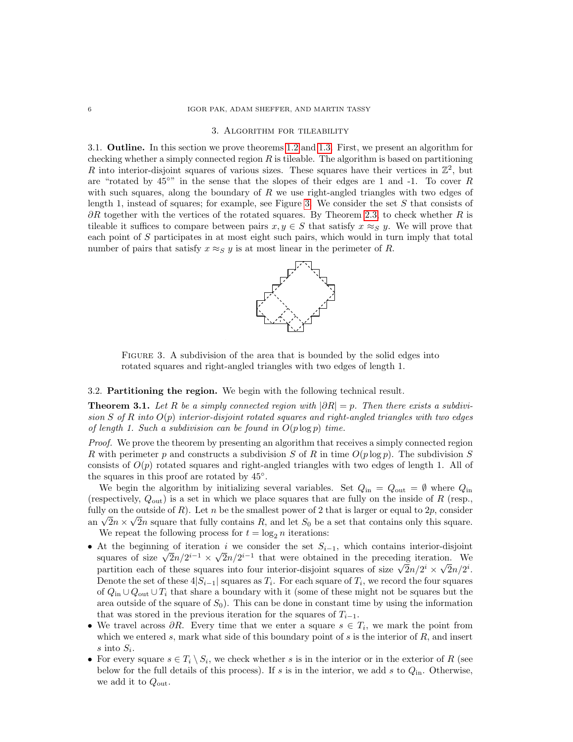### <span id="page-5-0"></span>6 IGOR PAK, ADAM SHEFFER, AND MARTIN TASSY

#### 3. Algorithm for tileability

3.1. Outline. In this section we prove theorems [1.2](#page-0-0) and [1.3.](#page-1-2) First, we present an algorithm for checking whether a simply connected region  $R$  is tileable. The algorithm is based on partitioning R into interior-disjoint squares of various sizes. These squares have their vertices in  $\mathbb{Z}^2$ , but are "rotated by  $45^{\circ}$ " in the sense that the slopes of their edges are 1 and -1. To cover R with such squares, along the boundary of R we use right-angled triangles with two edges of length 1, instead of squares; for example, see Figure [3.](#page-5-1) We consider the set  $S$  that consists of  $\partial R$  together with the vertices of the rotated squares. By Theorem [2.3,](#page-4-2) to check whether R is tileable it suffices to compare between pairs  $x, y \in S$  that satisfy  $x \approx_S y$ . We will prove that each point of S participates in at most eight such pairs, which would in turn imply that total number of pairs that satisfy  $x \approx_S y$  is at most linear in the perimeter of R.



Figure 3. A subdivision of the area that is bounded by the solid edges into rotated squares and right-angled triangles with two edges of length 1.

# <span id="page-5-1"></span>3.2. Partitioning the region. We begin with the following technical result.

<span id="page-5-2"></span>**Theorem 3.1.** Let R be a simply connected region with  $|\partial R| = p$ . Then there exists a subdivision S of R into  $O(p)$  interior-disjoint rotated squares and right-angled triangles with two edges of length 1. Such a subdivision can be found in  $O(p \log p)$  time.

Proof. We prove the theorem by presenting an algorithm that receives a simply connected region R with perimeter p and constructs a subdivision S of R in time  $O(p \log p)$ . The subdivision S consists of  $O(p)$  rotated squares and right-angled triangles with two edges of length 1. All of the squares in this proof are rotated by 45◦ .

We begin the algorithm by initializing several variables. Set  $Q_{\text{in}} = Q_{\text{out}} = \emptyset$  where  $Q_{\text{in}}$ (respectively,  $Q_{\text{out}}$ ) is a set in which we place squares that are fully on the inside of R (resp., fully on the outside of  $R$ ). Let n be the smallest power of 2 that is larger or equal to  $2p$ , consider an  $\sqrt{2n} \times \sqrt{2n}$  square that fully contains R, and let  $S_0$  be a set that contains only this square. We repeat the following process for  $t = \log_2 n$  iterations:

- At the beginning of iteration i we consider the set  $S_{i-1}$ , which contains interior-disjoint squares of size  $\sqrt{2n}/2^{i-1} \times \sqrt{2n}/2^{i-1}$  that were obtained in the preceding iteration. We partition each of these squares into four interior-disjoint squares of size  $\sqrt{2}n/2^i \times \sqrt{2}n/2^i$ . Denote the set of these  $4|S_{i-1}|$  squares as  $T_i$ . For each square of  $T_i$ , we record the four squares of  $Q_{\text{in}} \cup Q_{\text{out}} \cup T_i$  that share a boundary with it (some of these might not be squares but the area outside of the square of  $S_0$ . This can be done in constant time by using the information that was stored in the previous iteration for the squares of  $T_{i-1}$ .
- We travel across  $\partial R$ . Every time that we enter a square  $s \in T_i$ , we mark the point from which we entered s, mark what side of this boundary point of s is the interior of  $R$ , and insert s into  $S_i$ .
- For every square  $s \in T_i \setminus S_i$ , we check whether s is in the interior or in the exterior of R (see below for the full details of this process). If s is in the interior, we add s to  $Q_{\text{in}}$ . Otherwise, we add it to  $Q_{\text{out}}$ .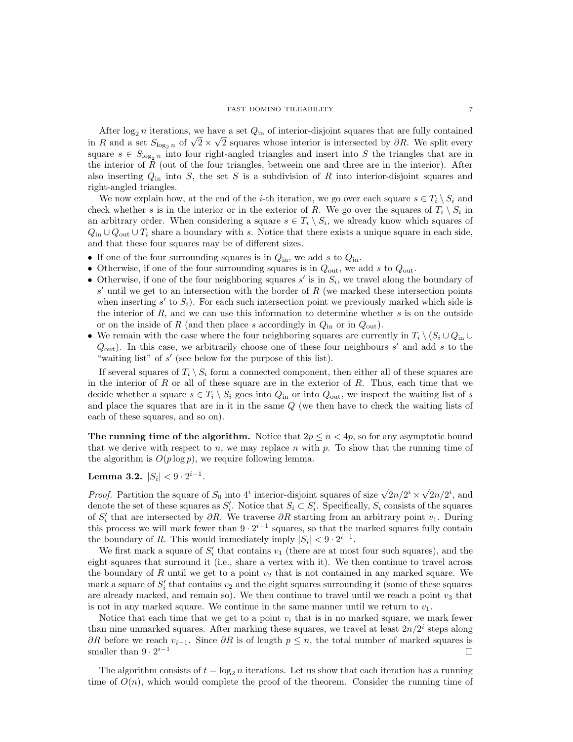After  $\log_2 n$  iterations, we have a set  $Q_{\text{in}}$  of interior-disjoint squares that are fully contained in R and a set  $S_{\log_2 n}$  of  $\sqrt{2} \times \sqrt{2}$  squares whose interior is intersected by ∂R. We split every square  $s \in S_{\log_2 n}$  into four right-angled triangles and insert into S the triangles that are in the interior of R (out of the four triangles, betweein one and three are in the interior). After also inserting  $Q_{\text{in}}$  into S, the set S is a subdivision of R into interior-disjoint squares and right-angled triangles.

We now explain how, at the end of the *i*-th iteration, we go over each square  $s \in T_i \setminus S_i$  and check whether s is in the interior or in the exterior of R. We go over the squares of  $T_i \setminus S_i$  in an arbitrary order. When considering a square  $s \in T_i \setminus S_i$ , we already know which squares of  $Q_{\text{in}} \cup Q_{\text{out}} \cup T_i$  share a boundary with s. Notice that there exists a unique square in each side, and that these four squares may be of different sizes.

- If one of the four surrounding squares is in  $Q_{\text{in}}$ , we add s to  $Q_{\text{in}}$ .
- Otherwise, if one of the four surrounding squares is in  $Q_{\text{out}}$ , we add s to  $Q_{\text{out}}$ .
- Otherwise, if one of the four neighboring squares  $s'$  is in  $S_i$ , we travel along the boundary of  $s'$  until we get to an intersection with the border of R (we marked these intersection points when inserting  $s'$  to  $S_i$ ). For each such intersection point we previously marked which side is the interior of  $R$ , and we can use this information to determine whether  $s$  is on the outside or on the inside of R (and then place s accordingly in  $Q_{\text{in}}$  or in  $Q_{\text{out}}$ ).
- We remain with the case where the four neighboring squares are currently in  $T_i \setminus (S_i \cup Q_{in} \cup$  $Q_{\text{out}}$ ). In this case, we arbitrarily choose one of these four neighbours  $s'$  and add s to the "waiting list" of  $s'$  (see below for the purpose of this list).

If several squares of  $T_i \ S_i$  form a connected component, then either all of these squares are in the interior of  $R$  or all of these square are in the exterior of  $R$ . Thus, each time that we decide whether a square  $s \in T_i \setminus S_i$  goes into  $Q_{\text{in}}$  or into  $Q_{\text{out}}$ , we inspect the waiting list of s and place the squares that are in it in the same Q (we then have to check the waiting lists of each of these squares, and so on).

The running time of the algorithm. Notice that  $2p \leq n \lt 4p$ , so for any asymptotic bound that we derive with respect to n, we may replace n with p. To show that the running time of the algorithm is  $O(p \log p)$ , we require following lemma.

<span id="page-6-0"></span>Lemma 3.2.  $|S_i| < 9 \cdot 2^{i-1}$ .

*Proof.* Partition the square of  $S_0$  into  $4^i$  interior-disjoint squares of size  $\sqrt{2n}/2^i \times \sqrt{2n}/2^i$ , and denote the set of these squares as  $S_i'$ . Notice that  $S_i \subset S_i'$ . Specifically,  $S_i$  consists of the squares of  $S_i'$  that are intersected by  $\partial R$ . We traverse  $\partial R$  starting from an arbitrary point  $v_1$ . During this process we will mark fewer than  $9 \cdot 2^{i-1}$  squares, so that the marked squares fully contain the boundary of R. This would immediately imply  $|S_i| < 9 \cdot 2^{i-1}$ .

We first mark a square of  $S_i'$  that contains  $v_1$  (there are at most four such squares), and the eight squares that surround it (i.e., share a vertex with it). We then continue to travel across the boundary of  $R$  until we get to a point  $v_2$  that is not contained in any marked square. We mark a square of  $S_i'$  that contains  $v_2$  and the eight squares surrounding it (some of these squares are already marked, and remain so). We then continue to travel until we reach a point  $v_3$  that is not in any marked square. We continue in the same manner until we return to  $v_1$ .

Notice that each time that we get to a point  $v_i$  that is in no marked square, we mark fewer than nine unmarked squares. After marking these squares, we travel at least  $2n/2<sup>i</sup>$  steps along ∂R before we reach  $v_{i+1}$ . Since ∂R is of length  $p \leq n$ , the total number of marked squares is smaller than 9 · 2<sup>*i*-1</sup> smaller than  $9 \cdot 2^{i-1}$ <sup>i</sup>−<sup>1</sup>

The algorithm consists of  $t = \log_2 n$  iterations. Let us show that each iteration has a running time of  $O(n)$ , which would complete the proof of the theorem. Consider the running time of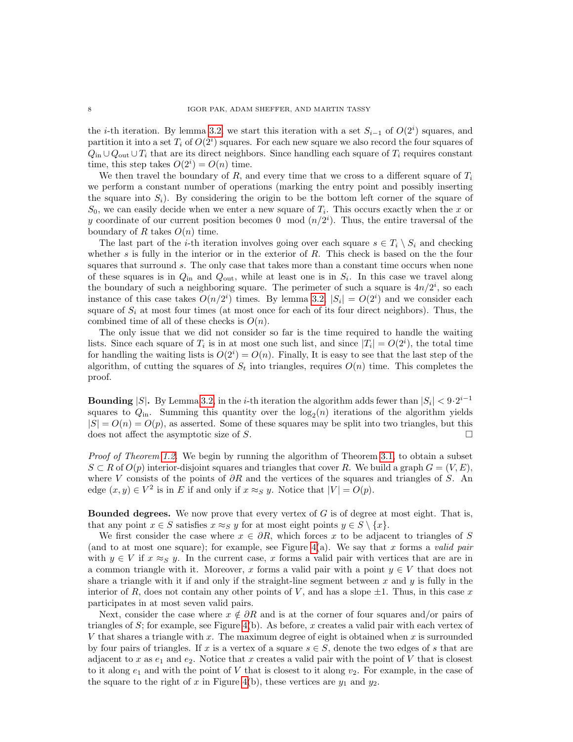the *i*-th iteration. By lemma [3.2,](#page-6-0) we start this iteration with a set  $S_{i-1}$  of  $O(2<sup>i</sup>)$  squares, and partition it into a set  $T_i$  of  $O(2^i)$  squares. For each new square we also record the four squares of  $Q_{\text{in}} \cup Q_{\text{out}} \cup T_i$  that are its direct neighbors. Since handling each square of  $T_i$  requires constant time, this step takes  $O(2<sup>i</sup>) = O(n)$  time.

We then travel the boundary of R, and every time that we cross to a different square of  $T_i$ we perform a constant number of operations (marking the entry point and possibly inserting the square into  $S_i$ ). By considering the origin to be the bottom left corner of the square of  $S_0$ , we can easily decide when we enter a new square of  $T_i$ . This occurs exactly when the x or y coordinate of our current position becomes 0 mod  $(n/2<sup>i</sup>)$ . Thus, the entire traversal of the boundary of R takes  $O(n)$  time.

The last part of the *i*-th iteration involves going over each square  $s \in T_i \setminus S_i$  and checking whether s is fully in the interior or in the exterior of  $R$ . This check is based on the the four squares that surround s. The only case that takes more than a constant time occurs when none of these squares is in  $Q_{\text{in}}$  and  $Q_{\text{out}}$ , while at least one is in  $S_i$ . In this case we travel along the boundary of such a neighboring square. The perimeter of such a square is  $4n/2^i$ , so each instance of this case takes  $O(n/2^i)$  times. By lemma [3.2,](#page-6-0)  $|S_i| = O(2^i)$  and we consider each square of  $S_i$  at most four times (at most once for each of its four direct neighbors). Thus, the combined time of all of these checks is  $O(n)$ .

The only issue that we did not consider so far is the time required to handle the waiting lists. Since each square of  $T_i$  is in at most one such list, and since  $|T_i| = O(2^i)$ , the total time for handling the waiting lists is  $O(2<sup>i</sup>) = O(n)$ . Finally, It is easy to see that the last step of the algorithm, of cutting the squares of  $S_t$  into triangles, requires  $O(n)$  time. This completes the proof.

**Bounding** |S|. By Lemma [3.2,](#page-6-0) in the *i*-th iteration the algorithm adds fewer than  $|S_i| < 9 \cdot 2^{i-1}$ squares to  $Q_{\text{in}}$ . Summing this quantity over the  $\log_2(n)$  iterations of the algorithm yields  $|S| = O(n) = O(p)$ , as asserted. Some of these squares may be split into two triangles, but this does not affect the asymptotic size of S. does not affect the asymptotic size of S.

*Proof of Theorem [1.2.](#page-0-0)* We begin by running the algorithm of Theorem [3.1,](#page-5-2) to obtain a subset  $S \subset R$  of  $O(p)$  interior-disjoint squares and triangles that cover R. We build a graph  $G = (V, E)$ , where V consists of the points of  $\partial R$  and the vertices of the squares and triangles of S. An edge  $(x, y) \in V^2$  is in E if and only if  $x \approx_S y$ . Notice that  $|V| = O(p)$ .

**Bounded degrees.** We now prove that every vertex of  $G$  is of degree at most eight. That is, that any point  $x \in S$  satisfies  $x \approx_S y$  for at most eight points  $y \in S \setminus \{x\}.$ 

We first consider the case where  $x \in \partial R$ , which forces x to be adjacent to triangles of S (and to at most one square); for example, see Figure [4\(](#page-8-0)a). We say that x forms a valid pair with  $y \in V$  if  $x \approx_S y$ . In the current case, x forms a valid pair with vertices that are are in a common triangle with it. Moreover, x forms a valid pair with a point  $y \in V$  that does not share a triangle with it if and only if the straight-line segment between x and  $y$  is fully in the interior of R, does not contain any other points of V, and has a slope  $\pm 1$ . Thus, in this case x participates in at most seven valid pairs.

Next, consider the case where  $x \notin \partial R$  and is at the corner of four squares and/or pairs of triangles of S; for example, see Figure  $4(b)$ . As before, x creates a valid pair with each vertex of V that shares a triangle with  $x$ . The maximum degree of eight is obtained when  $x$  is surrounded by four pairs of triangles. If x is a vertex of a square  $s \in S$ , denote the two edges of s that are adjacent to x as  $e_1$  and  $e_2$ . Notice that x creates a valid pair with the point of V that is closest to it along  $e_1$  and with the point of V that is closest to it along  $v_2$ . For example, in the case of the square to the right of x in Figure [4\(](#page-8-0)b), these vertices are  $y_1$  and  $y_2$ .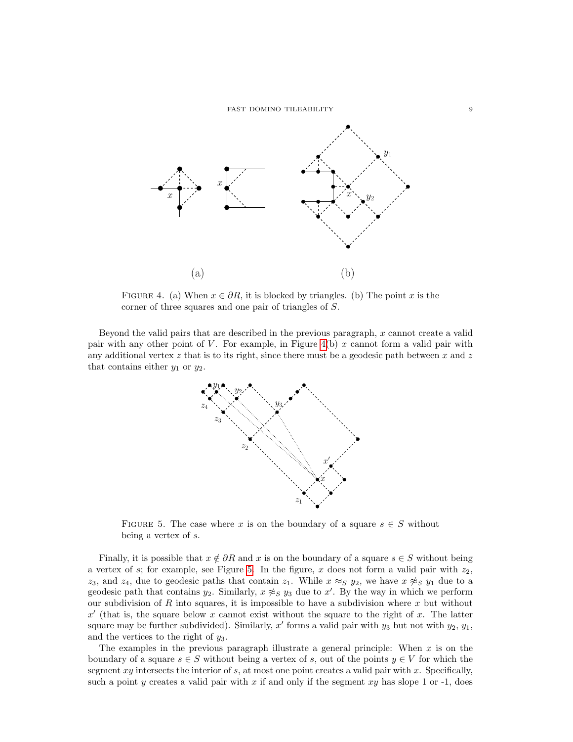FAST DOMINO TILEABILITY 9



<span id="page-8-0"></span>FIGURE 4. (a) When  $x \in \partial R$ , it is blocked by triangles. (b) The point x is the corner of three squares and one pair of triangles of S.

Beyond the valid pairs that are described in the previous paragraph,  $x$  cannot create a valid pair with any other point of  $V$ . For example, in Figure [4\(](#page-8-0)b)  $x$  cannot form a valid pair with any additional vertex  $z$  that is to its right, since there must be a geodesic path between  $x$  and  $z$ that contains either  $y_1$  or  $y_2$ .



<span id="page-8-1"></span>FIGURE 5. The case where x is on the boundary of a square  $s \in S$  without being a vertex of s.

Finally, it is possible that  $x \notin \partial R$  and x is on the boundary of a square  $s \in S$  without being a vertex of s; for example, see Figure [5.](#page-8-1) In the figure, x does not form a valid pair with  $z_2$ , z<sub>3</sub>, and z<sub>4</sub>, due to geodesic paths that contain z<sub>1</sub>. While  $x \approx_S y_2$ , we have  $x \not\approx_S y_1$  due to a geodesic path that contains  $y_2$ . Similarly,  $x \not\approx_S y_3$  due to  $x'$ . By the way in which we perform our subdivision of R into squares, it is impossible to have a subdivision where  $x$  but without  $x'$  (that is, the square below x cannot exist without the square to the right of x. The latter square may be further subdivided). Similarly,  $x'$  forms a valid pair with  $y_3$  but not with  $y_2$ ,  $y_1$ , and the vertices to the right of  $y_3$ .

The examples in the previous paragraph illustrate a general principle: When  $x$  is on the boundary of a square  $s \in S$  without being a vertex of s, out of the points  $y \in V$  for which the segment  $xy$  intersects the interior of s, at most one point creates a valid pair with  $x$ . Specifically, such a point y creates a valid pair with x if and only if the segment  $xy$  has slope 1 or -1, does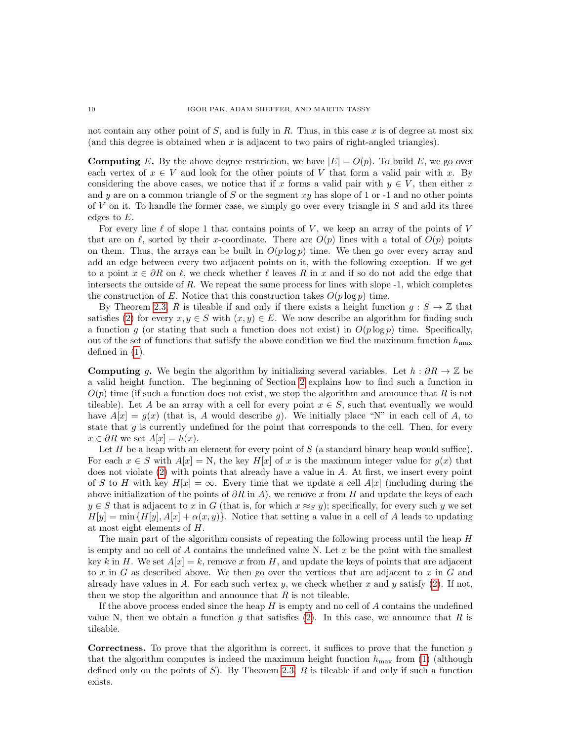not contain any other point of  $S$ , and is fully in  $R$ . Thus, in this case  $x$  is of degree at most six (and this degree is obtained when  $x$  is adjacent to two pairs of right-angled triangles).

**Computing** E. By the above degree restriction, we have  $|E| = O(p)$ . To build E, we go over each vertex of  $x \in V$  and look for the other points of V that form a valid pair with x. By considering the above cases, we notice that if x forms a valid pair with  $y \in V$ , then either x and y are on a common triangle of S or the segment  $xy$  has slope of 1 or -1 and no other points of  $V$  on it. To handle the former case, we simply go over every triangle in  $S$  and add its three edges to E.

For every line  $\ell$  of slope 1 that contains points of V, we keep an array of the points of V that are on  $\ell$ , sorted by their x-coordinate. There are  $O(p)$  lines with a total of  $O(p)$  points on them. Thus, the arrays can be built in  $O(p \log p)$  time. We then go over every array and add an edge between every two adjacent points on it, with the following exception. If we get to a point  $x \in \partial R$  on  $\ell$ , we check whether  $\ell$  leaves R in x and if so do not add the edge that intersects the outside of R. We repeat the same process for lines with slope  $-1$ , which completes the construction of E. Notice that this construction takes  $O(p \log p)$  time.

By Theorem [2.3,](#page-4-2) R is tileable if and only if there exists a height function  $g : S \to \mathbb{Z}$  that satisfies [\(2\)](#page-4-1) for every  $x, y \in S$  with  $(x, y) \in E$ . We now describe an algorithm for finding such a function g (or stating that such a function does not exist) in  $O(p \log p)$  time. Specifically, out of the set of functions that satisfy the above condition we find the maximum function  $h_{\text{max}}$ defined in [\(1\)](#page-3-0).

**Computing** g. We begin the algorithm by initializing several variables. Let  $h : \partial R \to \mathbb{Z}$  be a valid height function. The beginning of Section [2](#page-1-0) explains how to find such a function in  $O(p)$  time (if such a function does not exist, we stop the algorithm and announce that R is not tileable). Let A be an array with a cell for every point  $x \in S$ , such that eventually we would have  $A[x] = g(x)$  (that is, A would describe g). We initially place "N" in each cell of A, to state that  $g$  is currently undefined for the point that corresponds to the cell. Then, for every  $x \in \partial R$  we set  $A[x] = h(x)$ .

Let H be a heap with an element for every point of S (a standard binary heap would suffice). For each  $x \in S$  with  $A[x] = N$ , the key  $H[x]$  of x is the maximum integer value for  $g(x)$  that does not violate [\(2\)](#page-4-1) with points that already have a value in A. At first, we insert every point of S to H with key  $H[x] = \infty$ . Every time that we update a cell  $A[x]$  (including during the above initialization of the points of  $\partial R$  in A), we remove x from H and update the keys of each  $y \in S$  that is adjacent to x in G (that is, for which  $x \approx_S y$ ); specifically, for every such y we set  $H[y] = \min\{H[y], A[x] + \alpha(x, y)\}\.$  Notice that setting a value in a cell of A leads to updating at most eight elements of H.

The main part of the algorithm consists of repeating the following process until the heap H is empty and no cell of  $A$  contains the undefined value N. Let  $x$  be the point with the smallest key k in H. We set  $A[x] = k$ , remove x from H, and update the keys of points that are adjacent to x in G as described above. We then go over the vertices that are adjacent to x in G and already have values in A. For each such vertex y, we check whether x and y satisfy [\(2\)](#page-4-1). If not, then we stop the algorithm and announce that  $R$  is not tileable.

If the above process ended since the heap  $H$  is empty and no cell of  $A$  contains the undefined value N, then we obtain a function g that satisfies [\(2\)](#page-4-1). In this case, we announce that R is tileable.

**Correctness.** To prove that the algorithm is correct, it suffices to prove that the function  $g$ that the algorithm computes is indeed the maximum height function  $h_{\text{max}}$  from [\(1\)](#page-3-0) (although defined only on the points of  $S$ ). By Theorem [2.3,](#page-4-2)  $R$  is tileable if and only if such a function exists.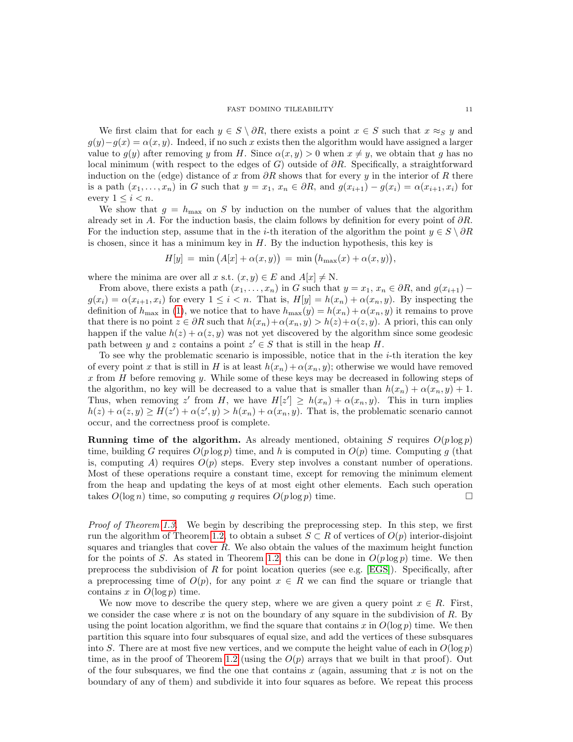We first claim that for each  $y \in S \setminus \partial R$ , there exists a point  $x \in S$  such that  $x \approx_S y$  and  $g(y)-g(x) = \alpha(x, y)$ . Indeed, if no such x exists then the algorithm would have assigned a larger value to  $g(y)$  after removing y from H. Since  $\alpha(x, y) > 0$  when  $x \neq y$ , we obtain that g has no local minimum (with respect to the edges of G) outside of  $\partial R$ . Specifically, a straightforward induction on the (edge) distance of x from  $\partial R$  shows that for every y in the interior of R there is a path  $(x_1, \ldots, x_n)$  in G such that  $y = x_1, x_n \in \partial R$ , and  $g(x_{i+1}) - g(x_i) = \alpha(x_{i+1}, x_i)$  for every  $1 \leq i < n$ .

We show that  $g = h_{\text{max}}$  on S by induction on the number of values that the algorithm already set in A. For the induction basis, the claim follows by definition for every point of  $\partial R$ . For the induction step, assume that in the *i*-th iteration of the algorithm the point  $y \in S \setminus \partial R$ is chosen, since it has a minimum key in  $H$ . By the induction hypothesis, this key is

 $H[y] = \min (A[x] + \alpha(x, y)) = \min (h_{\max}(x) + \alpha(x, y)),$ 

where the minima are over all x s.t.  $(x, y) \in E$  and  $A[x] \neq N$ .

From above, there exists a path  $(x_1, \ldots, x_n)$  in G such that  $y = x_1, x_n \in \partial R$ , and  $g(x_{i+1})$  –  $g(x_i) = \alpha(x_{i+1}, x_i)$  for every  $1 \leq i < n$ . That is,  $H[y] = h(x_n) + \alpha(x_n, y)$ . By inspecting the definition of  $h_{\text{max}}$  in [\(1\)](#page-3-0), we notice that to have  $h_{\text{max}}(y) = h(x_n) + \alpha(x_n, y)$  it remains to prove that there is no point  $z \in \partial R$  such that  $h(x_n) + \alpha(x_n, y) > h(z) + \alpha(z, y)$ . A priori, this can only happen if the value  $h(z) + \alpha(z, y)$  was not yet discovered by the algorithm since some geodesic path between y and z contains a point  $z' \in S$  that is still in the heap H.

To see why the problematic scenario is impossible, notice that in the  $i$ -th iteration the key of every point x that is still in H is at least  $h(x_n) + \alpha(x_n, y)$ ; otherwise we would have removed x from H before removing y. While some of these keys may be decreased in following steps of the algorithm, no key will be decreased to a value that is smaller than  $h(x_n) + \alpha(x_n, y) + 1$ . Thus, when removing z' from H, we have  $H[z'] \geq h(x_n) + \alpha(x_n, y)$ . This in turn implies  $h(z) + \alpha(z, y) \ge H(z') + \alpha(z', y) > h(x_n) + \alpha(x_n, y)$ . That is, the problematic scenario cannot occur, and the correctness proof is complete.

**Running time of the algorithm.** As already mentioned, obtaining S requires  $O(p \log p)$ time, building G requires  $O(p \log p)$  time, and h is computed in  $O(p)$  time. Computing g (that is, computing  $A$ ) requires  $O(p)$  steps. Every step involves a constant number of operations. Most of these operations require a constant time, except for removing the minimum element from the heap and updating the keys of at most eight other elements. Each such operation takes  $O(\log n)$  time, so computing g requires  $O(p \log p)$  time.

Proof of Theorem [1.3.](#page-1-2) We begin by describing the preprocessing step. In this step, we first run the algorithm of Theorem [1.2,](#page-0-0) to obtain a subset  $S \subset R$  of vertices of  $O(p)$  interior-disjoint squares and triangles that cover  $R$ . We also obtain the values of the maximum height function for the points of S. As stated in Theorem [1.2,](#page-0-0) this can be done in  $O(p \log p)$  time. We then preprocess the subdivision of R for point location queries (see e.g.  $[EGS]$ ). Specifically, after a preprocessing time of  $O(p)$ , for any point  $x \in R$  we can find the square or triangle that contains x in  $O(\log p)$  time.

We now move to describe the query step, where we are given a query point  $x \in R$ . First, we consider the case where x is not on the boundary of any square in the subdivision of R. By using the point location algorithm, we find the square that contains x in  $O(\log p)$  time. We then partition this square into four subsquares of equal size, and add the vertices of these subsquares into S. There are at most five new vertices, and we compute the height value of each in  $O(\log p)$ time, as in the proof of Theorem [1.2](#page-0-0) (using the  $O(p)$  arrays that we built in that proof). Out of the four subsquares, we find the one that contains  $x$  (again, assuming that  $x$  is not on the boundary of any of them) and subdivide it into four squares as before. We repeat this process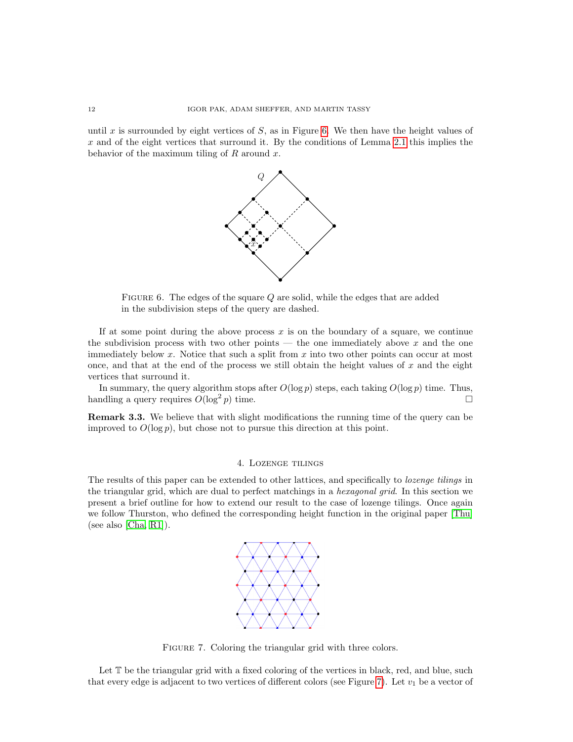until x is surrounded by eight vertices of  $S$ , as in Figure [6.](#page-11-1) We then have the height values of  $x$  and of the eight vertices that surround it. By the conditions of Lemma [2.1](#page-1-1) this implies the behavior of the maximum tiling of  $R$  around  $x$ .



<span id="page-11-1"></span>FIGURE 6. The edges of the square  $Q$  are solid, while the edges that are added in the subdivision steps of the query are dashed.

If at some point during the above process  $x$  is on the boundary of a square, we continue the subdivision process with two other points — the one immediately above  $x$  and the one immediately below  $x$ . Notice that such a split from  $x$  into two other points can occur at most once, and that at the end of the process we still obtain the height values of  $x$  and the eight vertices that surround it.

In summary, the query algorithm stops after  $O(\log p)$  steps, each taking  $O(\log p)$  time. Thus, handling a query requires  $O(\log^2 p)$  time.

Remark 3.3. We believe that with slight modifications the running time of the query can be improved to  $O(\log p)$ , but chose not to pursue this direction at this point.

# 4. Lozenge tilings

<span id="page-11-0"></span>The results of this paper can be extended to other lattices, and specifically to lozenge tilings in the triangular grid, which are dual to perfect matchings in a hexagonal grid. In this section we present a brief outline for how to extend our result to the case of lozenge tilings. Once again we follow Thurston, who defined the corresponding height function in the original paper [\[Thu\]](#page-14-6) (see also [\[Cha,](#page-14-9) [R1\]](#page-14-10)).



<span id="page-11-2"></span>FIGURE 7. Coloring the triangular grid with three colors.

Let  $\mathbb T$  be the triangular grid with a fixed coloring of the vertices in black, red, and blue, such that every edge is adjacent to two vertices of different colors (see Figure [7\)](#page-11-2). Let  $v_1$  be a vector of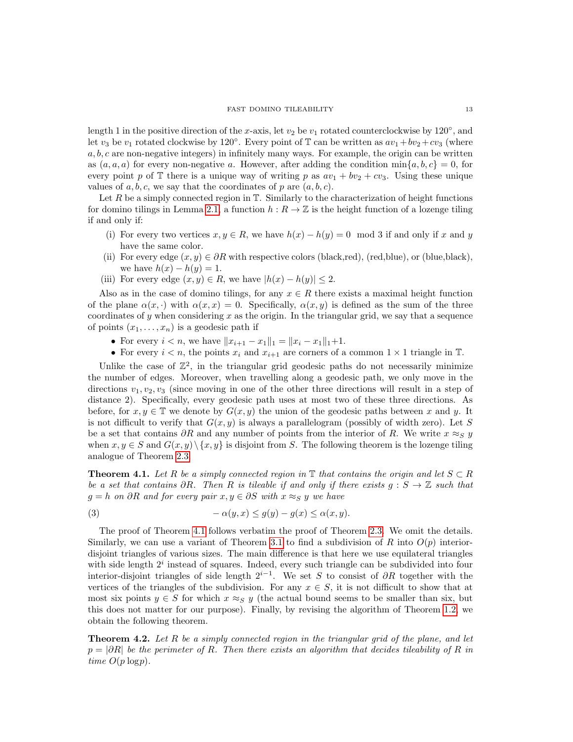length 1 in the positive direction of the x-axis, let  $v_2$  be  $v_1$  rotated counterclockwise by 120<sup>°</sup>, and let  $v_3$  be  $v_1$  rotated clockwise by 120°. Every point of T can be written as  $av_1 + bv_2 + cv_3$  (where  $a, b, c$  are non-negative integers) in infinitely many ways. For example, the origin can be written as  $(a, a, a)$  for every non-negative a. However, after adding the condition  $\min\{a, b, c\} = 0$ , for every point p of T there is a unique way of writing p as  $av_1 + bv_2 + cv_3$ . Using these unique values of a, b, c, we say that the coordinates of p are  $(a, b, c)$ .

Let  $R$  be a simply connected region in  $T$ . Similarly to the characterization of height functions for domino tilings in Lemma [2.1,](#page-1-1) a function  $h : R \to \mathbb{Z}$  is the height function of a lozenge tiling if and only if:

- (i) For every two vertices  $x, y \in R$ , we have  $h(x) h(y) = 0 \mod 3$  if and only if x and y have the same color.
- (ii) For every edge  $(x, y) \in \partial R$  with respective colors (black,red), (red,blue), or (blue,black), we have  $h(x) - h(y) = 1$ .
- (iii) For every edge  $(x, y) \in R$ , we have  $|h(x) h(y)| \leq 2$ .

Also as in the case of domino tilings, for any  $x \in R$  there exists a maximal height function of the plane  $\alpha(x, \cdot)$  with  $\alpha(x, x) = 0$ . Specifically,  $\alpha(x, y)$  is defined as the sum of the three coordinates of  $\gamma$  when considering x as the origin. In the triangular grid, we say that a sequence of points  $(x_1, \ldots, x_n)$  is a geodesic path if

- For every  $i < n$ , we have  $||x_{i+1} x_1||_1 = ||x_i x_1||_1 + 1$ .
- For every  $i < n$ , the points  $x_i$  and  $x_{i+1}$  are corners of a common  $1 \times 1$  triangle in T.

Unlike the case of  $\mathbb{Z}^2$ , in the triangular grid geodesic paths do not necessarily minimize the number of edges. Moreover, when travelling along a geodesic path, we only move in the directions  $v_1, v_2, v_3$  (since moving in one of the other three directions will result in a step of distance 2). Specifically, every geodesic path uses at most two of these three directions. As before, for  $x, y \in \mathbb{T}$  we denote by  $G(x, y)$  the union of the geodesic paths between x and y. It is not difficult to verify that  $G(x, y)$  is always a parallelogram (possibly of width zero). Let S be a set that contains  $\partial R$  and any number of points from the interior of R. We write  $x \approx_S y$ when  $x, y \in S$  and  $G(x, y) \setminus \{x, y\}$  is disjoint from S. The following theorem is the lozenge tiling analogue of Theorem [2.3.](#page-4-2)

<span id="page-12-0"></span>**Theorem 4.1.** Let R be a simply connected region in  $\mathbb{T}$  that contains the origin and let  $S \subset R$ be a set that contains  $\partial R$ . Then R is tileable if and only if there exists  $g : S \to \mathbb{Z}$  such that  $g = h$  on ∂R and for every pair  $x, y \in \partial S$  with  $x \approx_S y$  we have

(3) 
$$
-\alpha(y,x) \le g(y) - g(x) \le \alpha(x,y).
$$

The proof of Theorem [4.1](#page-12-0) follows verbatim the proof of Theorem [2.3.](#page-4-2) We omit the details. Similarly, we can use a variant of Theorem [3.1](#page-5-2) to find a subdivision of R into  $O(p)$  interiordisjoint triangles of various sizes. The main difference is that here we use equilateral triangles with side length  $2<sup>i</sup>$  instead of squares. Indeed, every such triangle can be subdivided into four interior-disjoint triangles of side length  $2^{i-1}$ . We set S to consist of ∂R together with the vertices of the triangles of the subdivision. For any  $x \in S$ , it is not difficult to show that at most six points  $y \in S$  for which  $x \approx_S y$  (the actual bound seems to be smaller than six, but this does not matter for our purpose). Finally, by revising the algorithm of Theorem [1.2,](#page-0-0) we obtain the following theorem.

**Theorem 4.2.** Let R be a simply connected region in the triangular grid of the plane, and let  $p = |\partial R|$  be the perimeter of R. Then there exists an algorithm that decides tileability of R in time  $O(p \log p)$ .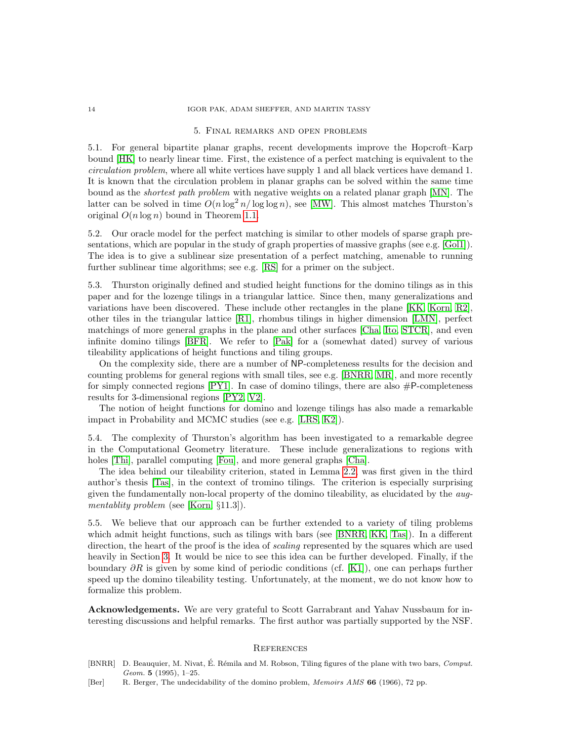### <span id="page-13-5"></span>14 IGOR PAK, ADAM SHEFFER, AND MARTIN TASSY

#### 5. Final remarks and open problems

<span id="page-13-3"></span>5.1. For general bipartite planar graphs, recent developments improve the Hopcroft–Karp bound [\[HK\]](#page-14-11) to nearly linear time. First, the existence of a perfect matching is equivalent to the circulation problem, where all white vertices have supply 1 and all black vertices have demand 1. It is known that the circulation problem in planar graphs can be solved within the same time bound as the shortest path problem with negative weights on a related planar graph [\[MN\]](#page-14-12). The latter can be solved in time  $O(n \log^2 n / \log \log n)$ , see [\[MW\]](#page-14-13). This almost matches Thurston's original  $O(n \log n)$  bound in Theorem [1.1.](#page-0-1)

<span id="page-13-4"></span>5.2. Our oracle model for the perfect matching is similar to other models of sparse graph presentations, which are popular in the study of graph properties of massive graphs (see e.g. [\[Gol1\]](#page-14-14)). The idea is to give a sublinear size presentation of a perfect matching, amenable to running further sublinear time algorithms; see e.g. [\[RS\]](#page-14-15) for a primer on the subject.

<span id="page-13-2"></span>5.3. Thurston originally defined and studied height functions for the domino tilings as in this paper and for the lozenge tilings in a triangular lattice. Since then, many generalizations and variations have been discovered. These include other rectangles in the plane [\[KK,](#page-14-16) [Korn,](#page-14-17) [R2\]](#page-14-18), other tiles in the triangular lattice [\[R1\]](#page-14-10), rhombus tilings in higher dimension [\[LMN\]](#page-14-19), perfect matchings of more general graphs in the plane and other surfaces [\[Cha,](#page-14-9) [Ito,](#page-14-20) [STCR\]](#page-14-21), and even infinite domino tilings [\[BFR\]](#page-14-22). We refer to [\[Pak\]](#page-14-23) for a (somewhat dated) survey of various tileability applications of height functions and tiling groups.

On the complexity side, there are a number of NP-completeness results for the decision and counting problems for general regions with small tiles, see e.g. [\[BNRR,](#page-13-6) [MR\]](#page-14-24), and more recently for simply connected regions  $[PY1]$ . In case of domino tilings, there are also  $\#P$ -completeness results for 3-dimensional regions [\[PY2,](#page-14-26) [V2\]](#page-14-27).

The notion of height functions for domino and lozenge tilings has also made a remarkable impact in Probability and MCMC studies (see e.g. [\[LRS,](#page-14-28) [K2\]](#page-14-5)).

<span id="page-13-1"></span>5.4. The complexity of Thurston's algorithm has been investigated to a remarkable degree in the Computational Geometry literature. These include generalizations to regions with holes [\[Thi\]](#page-14-29), parallel computing [\[Fou\]](#page-14-7), and more general graphs [\[Cha\]](#page-14-9).

The idea behind our tileability criterion, stated in Lemma [2.2,](#page-3-1) was first given in the third author's thesis [\[Tas\]](#page-14-30), in the context of tromino tilings. The criterion is especially surprising given the fundamentally non-local property of the domino tileability, as elucidated by the aug-mentablity problem (see [\[Korn,](#page-14-17) §11.3]).

5.5. We believe that our approach can be further extended to a variety of tiling problems which admit height functions, such as tilings with bars (see [\[BNRR,](#page-13-6) [KK,](#page-14-16) [Tas\]](#page-14-30)). In a different direction, the heart of the proof is the idea of *scaling* represented by the squares which are used heavily in Section [3.](#page-5-0) It would be nice to see this idea can be further developed. Finally, if the boundary  $\partial R$  is given by some kind of periodic conditions (cf. [\[K1\]](#page-14-31)), one can perhaps further speed up the domino tileability testing. Unfortunately, at the moment, we do not know how to formalize this problem.

Acknowledgements. We are very grateful to Scott Garrabrant and Yahav Nussbaum for interesting discussions and helpful remarks. The first author was partially supported by the NSF.

## **REFERENCES**

- <span id="page-13-6"></span>[BNRR] D. Beauquier, M. Nivat, É. Rémila and M. Robson, Tiling figures of the plane with two bars, Comput. Geom. 5 (1995), 1–25.
- <span id="page-13-0"></span>[Ber] R. Berger, The undecidability of the domino problem, *Memoirs AMS* 66 (1966), 72 pp.